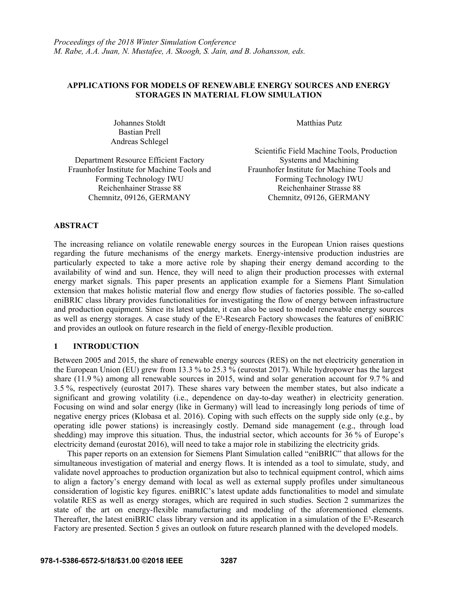# **APPLICATIONS FOR MODELS OF RENEWABLE ENERGY SOURCES AND ENERGY STORAGES IN MATERIAL FLOW SIMULATION**

Johannes Stoldt Matthias Putz Bastian Prell Andreas Schlegel

Department Resource Efficient Factory Systems and Machining Fraunhofer Institute for Machine Tools and Forming Technology IWU Reichenhainer Strasse 88 Reichenhainer Strasse 88 Chemnitz, 09126, GERMANY Chemnitz, 09126, GERMANY

 Scientific Field Machine Tools, Production Fraunhofer Institute for Machine Tools and Forming Technology IWU

## **ABSTRACT**

The increasing reliance on volatile renewable energy sources in the European Union raises questions regarding the future mechanisms of the energy markets. Energy-intensive production industries are particularly expected to take a more active role by shaping their energy demand according to the availability of wind and sun. Hence, they will need to align their production processes with external energy market signals. This paper presents an application example for a Siemens Plant Simulation extension that makes holistic material flow and energy flow studies of factories possible. The so-called eniBRIC class library provides functionalities for investigating the flow of energy between infrastructure and production equipment. Since its latest update, it can also be used to model renewable energy sources as well as energy storages. A case study of the E<sup>3</sup>-Research Factory showcases the features of eniBRIC and provides an outlook on future research in the field of energy-flexible production.

# **1 INTRODUCTION**

Between 2005 and 2015, the share of renewable energy sources (RES) on the net electricity generation in the European Union (EU) grew from 13.3 % to 25.3 % (eurostat 2017). While hydropower has the largest share (11.9 %) among all renewable sources in 2015, wind and solar generation account for 9.7 % and 3.5 %, respectively (eurostat 2017). These shares vary between the member states, but also indicate a significant and growing volatility (i.e., dependence on day-to-day weather) in electricity generation. Focusing on wind and solar energy (like in Germany) will lead to increasingly long periods of time of negative energy prices (Klobasa et al. 2016). Coping with such effects on the supply side only (e.g., by operating idle power stations) is increasingly costly. Demand side management (e.g., through load shedding) may improve this situation. Thus, the industrial sector, which accounts for 36 % of Europe's electricity demand (eurostat 2016), will need to take a major role in stabilizing the electricity grids.

This paper reports on an extension for Siemens Plant Simulation called "eniBRIC" that allows for the simultaneous investigation of material and energy flows. It is intended as a tool to simulate, study, and validate novel approaches to production organization but also to technical equipment control, which aims to align a factory's energy demand with local as well as external supply profiles under simultaneous consideration of logistic key figures. eniBRIC's latest update adds functionalities to model and simulate volatile RES as well as energy storages, which are required in such studies. Section 2 summarizes the state of the art on energy-flexible manufacturing and modeling of the aforementioned elements. Thereafter, the latest eniBRIC class library version and its application in a simulation of the E<sup>3</sup>-Research Factory are presented. Section 5 gives an outlook on future research planned with the developed models.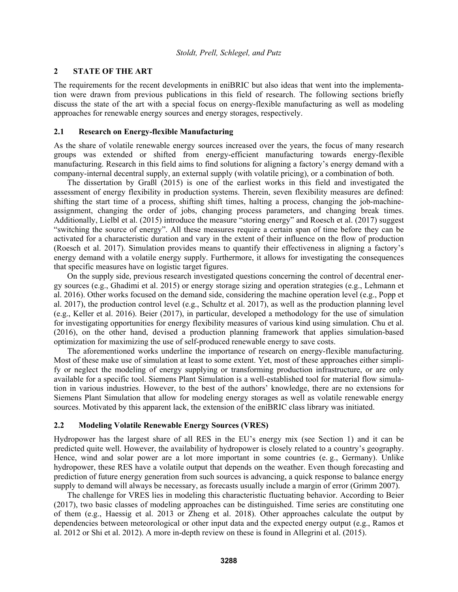## **2 STATE OF THE ART**

The requirements for the recent developments in eniBRIC but also ideas that went into the implementation were drawn from previous publications in this field of research. The following sections briefly discuss the state of the art with a special focus on energy-flexible manufacturing as well as modeling approaches for renewable energy sources and energy storages, respectively.

## **2.1 Research on Energy-flexible Manufacturing**

As the share of volatile renewable energy sources increased over the years, the focus of many research groups was extended or shifted from energy-efficient manufacturing towards energy-flexible manufacturing. Research in this field aims to find solutions for aligning a factory's energy demand with a company-internal decentral supply, an external supply (with volatile pricing), or a combination of both.

The dissertation by Graßl (2015) is one of the earliest works in this field and investigated the assessment of energy flexibility in production systems. Therein, seven flexibility measures are defined: shifting the start time of a process, shifting shift times, halting a process, changing the job-machineassignment, changing the order of jobs, changing process parameters, and changing break times. Additionally, Lielbl et al. (2015) introduce the measure "storing energy" and Roesch et al. (2017) suggest "switching the source of energy". All these measures require a certain span of time before they can be activated for a characteristic duration and vary in the extent of their influence on the flow of production (Roesch et al. 2017). Simulation provides means to quantify their effectiveness in aligning a factory's energy demand with a volatile energy supply. Furthermore, it allows for investigating the consequences that specific measures have on logistic target figures.

On the supply side, previous research investigated questions concerning the control of decentral energy sources (e.g., Ghadimi et al. 2015) or energy storage sizing and operation strategies (e.g., Lehmann et al. 2016). Other works focused on the demand side, considering the machine operation level (e.g., Popp et al. 2017), the production control level (e.g., Schultz et al. 2017), as well as the production planning level (e.g., Keller et al. 2016). Beier (2017), in particular, developed a methodology for the use of simulation for investigating opportunities for energy flexibility measures of various kind using simulation. Chu et al. (2016), on the other hand, devised a production planning framework that applies simulation-based optimization for maximizing the use of self-produced renewable energy to save costs.

The aforementioned works underline the importance of research on energy-flexible manufacturing. Most of these make use of simulation at least to some extent. Yet, most of these approaches either simplify or neglect the modeling of energy supplying or transforming production infrastructure, or are only available for a specific tool. Siemens Plant Simulation is a well-established tool for material flow simulation in various industries. However, to the best of the authors' knowledge, there are no extensions for Siemens Plant Simulation that allow for modeling energy storages as well as volatile renewable energy sources. Motivated by this apparent lack, the extension of the eniBRIC class library was initiated.

#### **2.2 Modeling Volatile Renewable Energy Sources (VRES)**

Hydropower has the largest share of all RES in the EU's energy mix (see Section 1) and it can be predicted quite well. However, the availability of hydropower is closely related to a country's geography. Hence, wind and solar power are a lot more important in some countries (e. g., Germany). Unlike hydropower, these RES have a volatile output that depends on the weather. Even though forecasting and prediction of future energy generation from such sources is advancing, a quick response to balance energy supply to demand will always be necessary, as forecasts usually include a margin of error (Grimm 2007).

The challenge for VRES lies in modeling this characteristic fluctuating behavior. According to Beier (2017), two basic classes of modeling approaches can be distinguished. Time series are constituting one of them (e.g., Haessig et al. 2013 or Zheng et al. 2018). Other approaches calculate the output by dependencies between meteorological or other input data and the expected energy output (e.g., Ramos et al. 2012 or Shi et al. 2012). A more in-depth review on these is found in Allegrini et al. (2015).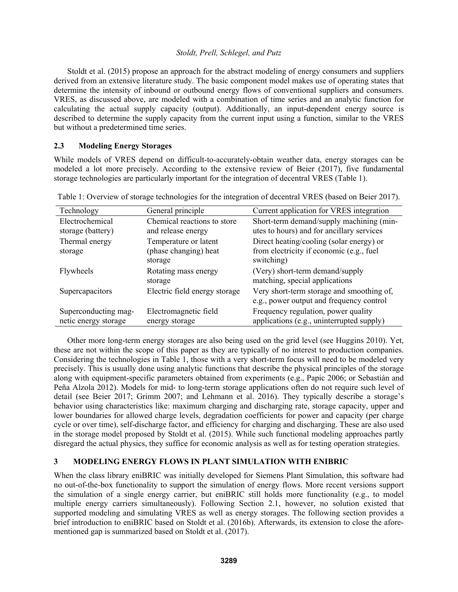Stoldt et al. (2015) propose an approach for the abstract modeling of energy consumers and suppliers derived from an extensive literature study. The basic component model makes use of operating states that determine the intensity of inbound or outbound energy flows of conventional suppliers and consumers. VRES, as discussed above, are modeled with a combination of time series and an analytic function for calculating the actual supply capacity (output). Additionally, an input-dependent energy source is described to determine the supply capacity from the current input using a function, similar to the VRES but without a predetermined time series.

## **2.3 Modeling Energy Storages**

While models of VRES depend on difficult-to-accurately-obtain weather data, energy storages can be modeled a lot more precisely. According to the extensive review of Beier (2017), five fundamental storage technologies are particularly important for the integration of decentral VRES (Table 1).

| Technology                           | General principle                                         | Current application for VRES integration                                                           |
|--------------------------------------|-----------------------------------------------------------|----------------------------------------------------------------------------------------------------|
| Electrochemical<br>storage (battery) | Chemical reactions to store<br>and release energy         | Short-term demand/supply machining (min-<br>utes to hours) and for ancillary services              |
| Thermal energy<br>storage            | Temperature or latent<br>(phase changing) heat<br>storage | Direct heating/cooling (solar energy) or<br>from electricity if economic (e.g., fuel<br>switching) |
| Flywheels                            | Rotating mass energy<br>storage                           | (Very) short-term demand/supply<br>matching, special applications                                  |
| Supercapacitors                      | Electric field energy storage                             | Very short-term storage and smoothing of,<br>e.g., power output and frequency control              |
| Superconducting mag-                 | Electromagnetic field                                     | Frequency regulation, power quality                                                                |
| netic energy storage                 | energy storage                                            | applications (e.g., uninterrupted supply)                                                          |

Table 1: Overview of storage technologies for the integration of decentral VRES (based on Beier 2017).

Other more long-term energy storages are also being used on the grid level (see Huggins 2010). Yet, these are not within the scope of this paper as they are typically of no interest to production companies. Considering the technologies in Table 1, those with a very short-term focus will need to be modeled very precisely. This is usually done using analytic functions that describe the physical principles of the storage along with equipment-specific parameters obtained from experiments (e.g., Papic 2006; or Sebastián and Peña Alzola 2012). Models for mid- to long-term storage applications often do not require such level of detail (see Beier 2017; Grimm 2007; and Lehmann et al. 2016). They typically describe a storage's behavior using characteristics like: maximum charging and discharging rate, storage capacity, upper and lower boundaries for allowed charge levels, degradation coefficients for power and capacity (per charge cycle or over time), self-discharge factor, and efficiency for charging and discharging. These are also used in the storage model proposed by Stoldt et al. (2015). While such functional modeling approaches partly disregard the actual physics, they suffice for economic analysis as well as for testing operation strategies.

# **3 MODELING ENERGY FLOWS IN PLANT SIMULATION WITH ENIBRIC**

When the class library eniBRIC was initially developed for Siemens Plant Simulation, this software had no out-of-the-box functionality to support the simulation of energy flows. More recent versions support the simulation of a single energy carrier, but eniBRIC still holds more functionality (e.g., to model multiple energy carriers simultaneously). Following Section 2.1, however, no solution existed that supported modeling and simulating VRES as well as energy storages. The following section provides a brief introduction to eniBRIC based on Stoldt et al. (2016b). Afterwards, its extension to close the aforementioned gap is summarized based on Stoldt et al. (2017).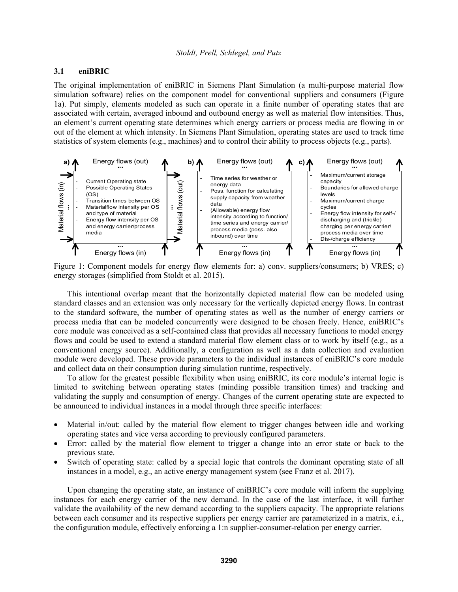## **3.1 eniBRIC**

The original implementation of eniBRIC in Siemens Plant Simulation (a multi-purpose material flow simulation software) relies on the component model for conventional suppliers and consumers (Figure 1a). Put simply, elements modeled as such can operate in a finite number of operating states that are associated with certain, averaged inbound and outbound energy as well as material flow intensities. Thus, an element's current operating state determines which energy carriers or process media are flowing in or out of the element at which intensity. In Siemens Plant Simulation, operating states are used to track time statistics of system elements (e.g., machines) and to control their ability to process objects (e.g., parts).



Figure 1: Component models for energy flow elements for: a) conv. suppliers/consumers; b) VRES; c) energy storages (simplified from Stoldt et al. 2015).

This intentional overlap meant that the horizontally depicted material flow can be modeled using standard classes and an extension was only necessary for the vertically depicted energy flows. In contrast to the standard software, the number of operating states as well as the number of energy carriers or process media that can be modeled concurrently were designed to be chosen freely. Hence, eniBRIC's core module was conceived as a self-contained class that provides all necessary functions to model energy flows and could be used to extend a standard material flow element class or to work by itself (e.g., as a conventional energy source). Additionally, a configuration as well as a data collection and evaluation module were developed. These provide parameters to the individual instances of eniBRIC's core module and collect data on their consumption during simulation runtime, respectively.

To allow for the greatest possible flexibility when using eniBRIC, its core module's internal logic is limited to switching between operating states (minding possible transition times) and tracking and validating the supply and consumption of energy. Changes of the current operating state are expected to be announced to individual instances in a model through three specific interfaces:

- Material in/out: called by the material flow element to trigger changes between idle and working operating states and vice versa according to previously configured parameters.
- Error: called by the material flow element to trigger a change into an error state or back to the previous state.
- Switch of operating state: called by a special logic that controls the dominant operating state of all instances in a model, e.g., an active energy management system (see Franz et al. 2017).

Upon changing the operating state, an instance of eniBRIC's core module will inform the supplying instances for each energy carrier of the new demand. In the case of the last interface, it will further validate the availability of the new demand according to the suppliers capacity. The appropriate relations between each consumer and its respective suppliers per energy carrier are parameterized in a matrix, e.i., the configuration module, effectively enforcing a 1:n supplier-consumer-relation per energy carrier.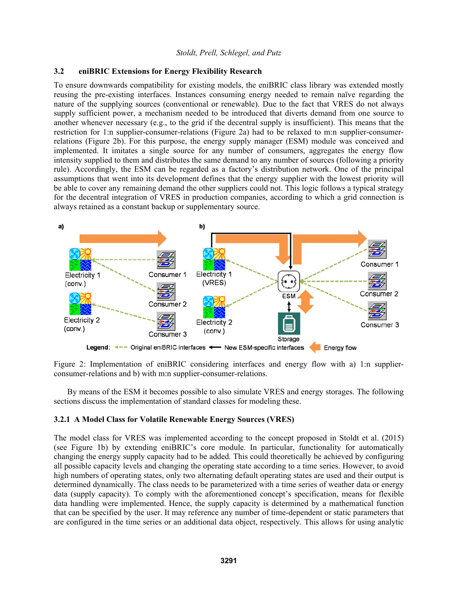### **3.2 eniBRIC Extensions for Energy Flexibility Research**

To ensure downwards compatibility for existing models, the eniBRIC class library was extended mostly reusing the pre-existing interfaces. Instances consuming energy needed to remain naïve regarding the nature of the supplying sources (conventional or renewable). Due to the fact that VRES do not always supply sufficient power, a mechanism needed to be introduced that diverts demand from one source to another whenever necessary (e.g., to the grid if the decentral supply is insufficient). This means that the restriction for 1:n supplier-consumer-relations (Figure 2a) had to be relaxed to m:n supplier-consumerrelations (Figure 2b). For this purpose, the energy supply manager (ESM) module was conceived and implemented. It imitates a single source for any number of consumers, aggregates the energy flow intensity supplied to them and distributes the same demand to any number of sources (following a priority rule). Accordingly, the ESM can be regarded as a factory's distribution network. One of the principal assumptions that went into its development defines that the energy supplier with the lowest priority will be able to cover any remaining demand the other suppliers could not. This logic follows a typical strategy for the decentral integration of VRES in production companies, according to which a grid connection is always retained as a constant backup or supplementary source.



Figure 2: Implementation of eniBRIC considering interfaces and energy flow with a) 1:n supplierconsumer-relations and b) with m:n supplier-consumer-relations.

By means of the ESM it becomes possible to also simulate VRES and energy storages. The following sections discuss the implementation of standard classes for modeling these.

## **3.2.1 A Model Class for Volatile Renewable Energy Sources (VRES)**

The model class for VRES was implemented according to the concept proposed in Stoldt et al. (2015) (see Figure 1b) by extending eniBRIC's core module. In particular, functionality for automatically changing the energy supply capacity had to be added. This could theoretically be achieved by configuring all possible capacity levels and changing the operating state according to a time series. However, to avoid high numbers of operating states, only two alternating default operating states are used and their output is determined dynamically. The class needs to be parameterized with a time series of weather data or energy data (supply capacity). To comply with the aforementioned concept's specification, means for flexible data handling were implemented. Hence, the supply capacity is determined by a mathematical function that can be specified by the user. It may reference any number of time-dependent or static parameters that are configured in the time series or an additional data object, respectively. This allows for using analytic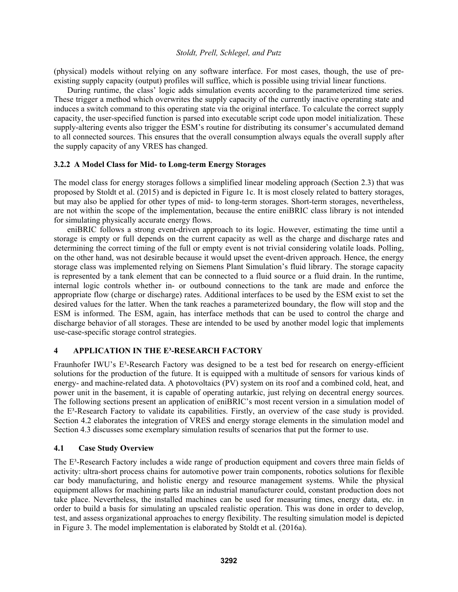(physical) models without relying on any software interface. For most cases, though, the use of preexisting supply capacity (output) profiles will suffice, which is possible using trivial linear functions.

During runtime, the class' logic adds simulation events according to the parameterized time series. These trigger a method which overwrites the supply capacity of the currently inactive operating state and induces a switch command to this operating state via the original interface. To calculate the correct supply capacity, the user-specified function is parsed into executable script code upon model initialization. These supply-altering events also trigger the ESM's routine for distributing its consumer's accumulated demand to all connected sources. This ensures that the overall consumption always equals the overall supply after the supply capacity of any VRES has changed.

# **3.2.2 A Model Class for Mid- to Long-term Energy Storages**

The model class for energy storages follows a simplified linear modeling approach (Section 2.3) that was proposed by Stoldt et al. (2015) and is depicted in Figure 1c. It is most closely related to battery storages, but may also be applied for other types of mid- to long-term storages. Short-term storages, nevertheless, are not within the scope of the implementation, because the entire eniBRIC class library is not intended for simulating physically accurate energy flows.

eniBRIC follows a strong event-driven approach to its logic. However, estimating the time until a storage is empty or full depends on the current capacity as well as the charge and discharge rates and determining the correct timing of the full or empty event is not trivial considering volatile loads. Polling, on the other hand, was not desirable because it would upset the event-driven approach. Hence, the energy storage class was implemented relying on Siemens Plant Simulation's fluid library. The storage capacity is represented by a tank element that can be connected to a fluid source or a fluid drain. In the runtime, internal logic controls whether in- or outbound connections to the tank are made and enforce the appropriate flow (charge or discharge) rates. Additional interfaces to be used by the ESM exist to set the desired values for the latter. When the tank reaches a parameterized boundary, the flow will stop and the ESM is informed. The ESM, again, has interface methods that can be used to control the charge and discharge behavior of all storages. These are intended to be used by another model logic that implements use-case-specific storage control strategies.

### **4 APPLICATION IN THE E³-RESEARCH FACTORY**

Fraunhofer IWU's E<sup>3</sup>-Research Factory was designed to be a test bed for research on energy-efficient solutions for the production of the future. It is equipped with a multitude of sensors for various kinds of energy- and machine-related data. A photovoltaics (PV) system on its roof and a combined cold, heat, and power unit in the basement, it is capable of operating autarkic, just relying on decentral energy sources. The following sections present an application of eniBRIC's most recent version in a simulation model of the E³-Research Factory to validate its capabilities. Firstly, an overview of the case study is provided. Section 4.2 elaborates the integration of VRES and energy storage elements in the simulation model and Section 4.3 discusses some exemplary simulation results of scenarios that put the former to use.

### **4.1 Case Study Overview**

The  $E<sup>3</sup>$ -Research Factory includes a wide range of production equipment and covers three main fields of activity: ultra-short process chains for automotive power train components, robotics solutions for flexible car body manufacturing, and holistic energy and resource management systems. While the physical equipment allows for machining parts like an industrial manufacturer could, constant production does not take place. Nevertheless, the installed machines can be used for measuring times, energy data, etc. in order to build a basis for simulating an upscaled realistic operation. This was done in order to develop, test, and assess organizational approaches to energy flexibility. The resulting simulation model is depicted in Figure 3. The model implementation is elaborated by Stoldt et al. (2016a).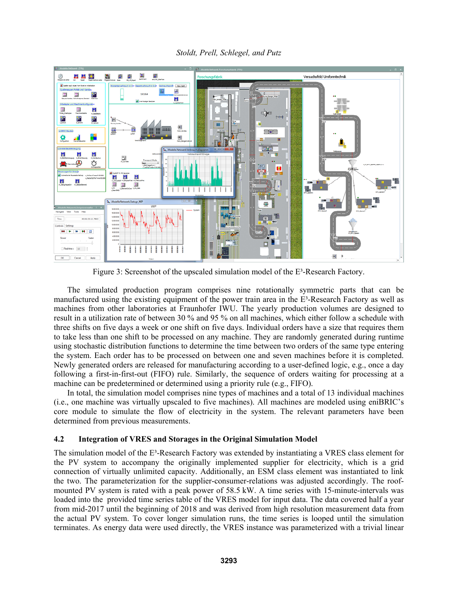*Stoldt, Prell, Schlegel, and Putz* 



Figure 3: Screenshot of the upscaled simulation model of the E<sup>3</sup>-Research Factory.

The simulated production program comprises nine rotationally symmetric parts that can be manufactured using the existing equipment of the power train area in the E³-Research Factory as well as machines from other laboratories at Fraunhofer IWU. The yearly production volumes are designed to result in a utilization rate of between 30 % and 95 % on all machines, which either follow a schedule with three shifts on five days a week or one shift on five days. Individual orders have a size that requires them to take less than one shift to be processed on any machine. They are randomly generated during runtime using stochastic distribution functions to determine the time between two orders of the same type entering the system. Each order has to be processed on between one and seven machines before it is completed. Newly generated orders are released for manufacturing according to a user-defined logic, e.g., once a day following a first-in-first-out (FIFO) rule. Similarly, the sequence of orders waiting for processing at a machine can be predetermined or determined using a priority rule (e.g., FIFO).

In total, the simulation model comprises nine types of machines and a total of 13 individual machines (i.e., one machine was virtually upscaled to five machines). All machines are modeled using eniBRIC's core module to simulate the flow of electricity in the system. The relevant parameters have been determined from previous measurements.

# **4.2 Integration of VRES and Storages in the Original Simulation Model**

The simulation model of the E<sup>3</sup>-Research Factory was extended by instantiating a VRES class element for the PV system to accompany the originally implemented supplier for electricity, which is a grid connection of virtually unlimited capacity. Additionally, an ESM class element was instantiated to link the two. The parameterization for the supplier-consumer-relations was adjusted accordingly. The roofmounted PV system is rated with a peak power of 58.5 kW. A time series with 15-minute-intervals was loaded into the provided time series table of the VRES model for input data. The data covered half a year from mid-2017 until the beginning of 2018 and was derived from high resolution measurement data from the actual PV system. To cover longer simulation runs, the time series is looped until the simulation terminates. As energy data were used directly, the VRES instance was parameterized with a trivial linear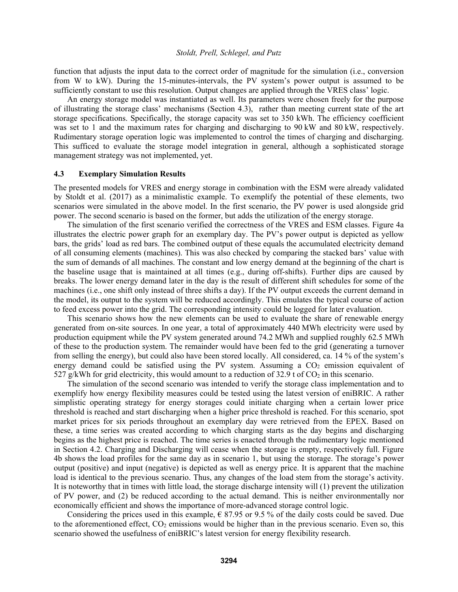function that adjusts the input data to the correct order of magnitude for the simulation (i.e., conversion from W to kW). During the 15-minutes-intervals, the PV system's power output is assumed to be sufficiently constant to use this resolution. Output changes are applied through the VRES class' logic.

An energy storage model was instantiated as well. Its parameters were chosen freely for the purpose of illustrating the storage class' mechanisms (Section 4.3), rather than meeting current state of the art storage specifications. Specifically, the storage capacity was set to 350 kWh. The efficiency coefficient was set to 1 and the maximum rates for charging and discharging to 90 kW and 80 kW, respectively. Rudimentary storage operation logic was implemented to control the times of charging and discharging. This sufficed to evaluate the storage model integration in general, although a sophisticated storage management strategy was not implemented, yet.

#### **4.3 Exemplary Simulation Results**

The presented models for VRES and energy storage in combination with the ESM were already validated by Stoldt et al. (2017) as a minimalistic example. To exemplify the potential of these elements, two scenarios were simulated in the above model. In the first scenario, the PV power is used alongside grid power. The second scenario is based on the former, but adds the utilization of the energy storage.

The simulation of the first scenario verified the correctness of the VRES and ESM classes. Figure 4a illustrates the electric power graph for an exemplary day. The PV's power output is depicted as yellow bars, the grids' load as red bars. The combined output of these equals the accumulated electricity demand of all consuming elements (machines). This was also checked by comparing the stacked bars' value with the sum of demands of all machines. The constant and low energy demand at the beginning of the chart is the baseline usage that is maintained at all times (e.g., during off-shifts). Further dips are caused by breaks. The lower energy demand later in the day is the result of different shift schedules for some of the machines (i.e., one shift only instead of three shifts a day). If the PV output exceeds the current demand in the model, its output to the system will be reduced accordingly. This emulates the typical course of action to feed excess power into the grid. The corresponding intensity could be logged for later evaluation.

This scenario shows how the new elements can be used to evaluate the share of renewable energy generated from on-site sources. In one year, a total of approximately 440 MWh electricity were used by production equipment while the PV system generated around 74.2 MWh and supplied roughly 62.5 MWh of these to the production system. The remainder would have been fed to the grid (generating a turnover from selling the energy), but could also have been stored locally. All considered, ca. 14 % of the system's energy demand could be satisfied using the PV system. Assuming a  $CO<sub>2</sub>$  emission equivalent of 527 g/kWh for grid electricity, this would amount to a reduction of 32.9 t of  $CO<sub>2</sub>$  in this scenario.

The simulation of the second scenario was intended to verify the storage class implementation and to exemplify how energy flexibility measures could be tested using the latest version of eniBRIC. A rather simplistic operating strategy for energy storages could initiate charging when a certain lower price threshold is reached and start discharging when a higher price threshold is reached. For this scenario, spot market prices for six periods throughout an exemplary day were retrieved from the EPEX. Based on these, a time series was created according to which charging starts as the day begins and discharging begins as the highest price is reached. The time series is enacted through the rudimentary logic mentioned in Section 4.2. Charging and Discharging will cease when the storage is empty, respectively full. Figure 4b shows the load profiles for the same day as in scenario 1, but using the storage. The storage's power output (positive) and input (negative) is depicted as well as energy price. It is apparent that the machine load is identical to the previous scenario. Thus, any changes of the load stem from the storage's activity. It is noteworthy that in times with little load, the storage discharge intensity will (1) prevent the utilization of PV power, and (2) be reduced according to the actual demand. This is neither environmentally nor economically efficient and shows the importance of more-advanced storage control logic.

Considering the prices used in this example,  $\epsilon$  87.95 or 9.5% of the daily costs could be saved. Due to the aforementioned effect,  $CO_2$  emissions would be higher than in the previous scenario. Even so, this scenario showed the usefulness of eniBRIC's latest version for energy flexibility research.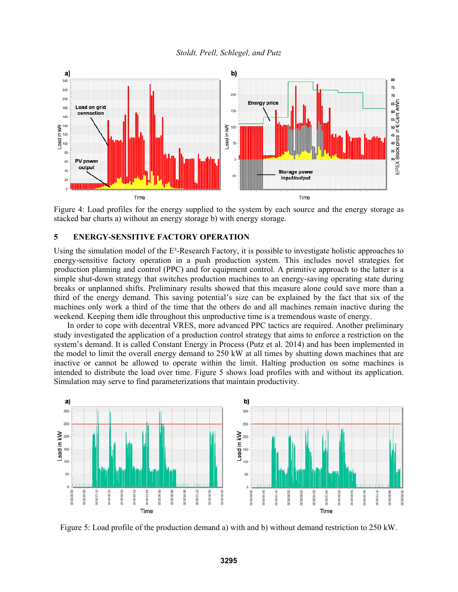

Figure 4: Load profiles for the energy supplied to the system by each source and the energy storage as stacked bar charts a) without an energy storage b) with energy storage.

### **5 ENERGY-SENSITIVE FACTORY OPERATION**

Using the simulation model of the  $E<sup>3</sup>$ -Research Factory, it is possible to investigate holistic approaches to energy-sensitive factory operation in a push production system. This includes novel strategies for production planning and control (PPC) and for equipment control. A primitive approach to the latter is a simple shut-down strategy that switches production machines to an energy-saving operating state during breaks or unplanned shifts. Preliminary results showed that this measure alone could save more than a third of the energy demand. This saving potential's size can be explained by the fact that six of the machines only work a third of the time that the others do and all machines remain inactive during the weekend. Keeping them idle throughout this unproductive time is a tremendous waste of energy.

In order to cope with decentral VRES, more advanced PPC tactics are required. Another preliminary study investigated the application of a production control strategy that aims to enforce a restriction on the system's demand. It is called Constant Energy in Process (Putz et al. 2014) and has been implemented in the model to limit the overall energy demand to 250 kW at all times by shutting down machines that are inactive or cannot be allowed to operate within the limit. Halting production on some machines is intended to distribute the load over time. Figure 5 shows load profiles with and without its application. Simulation may serve to find parameterizations that maintain productivity.



Figure 5: Load profile of the production demand a) with and b) without demand restriction to 250 kW.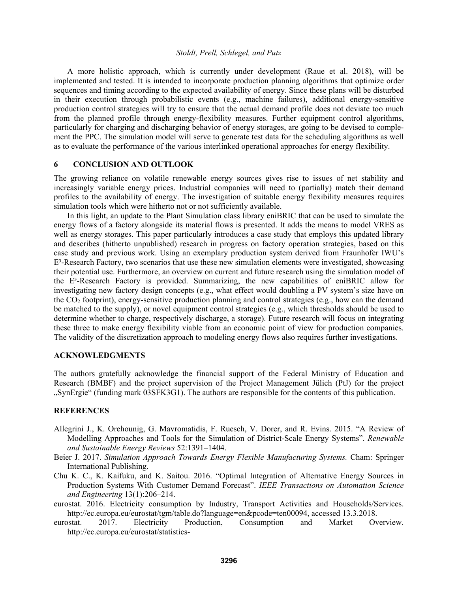A more holistic approach, which is currently under development (Raue et al. 2018), will be implemented and tested. It is intended to incorporate production planning algorithms that optimize order sequences and timing according to the expected availability of energy. Since these plans will be disturbed in their execution through probabilistic events (e.g., machine failures), additional energy-sensitive production control strategies will try to ensure that the actual demand profile does not deviate too much from the planned profile through energy-flexibility measures. Further equipment control algorithms, particularly for charging and discharging behavior of energy storages, are going to be devised to complement the PPC. The simulation model will serve to generate test data for the scheduling algorithms as well as to evaluate the performance of the various interlinked operational approaches for energy flexibility.

## **6 CONCLUSION AND OUTLOOK**

The growing reliance on volatile renewable energy sources gives rise to issues of net stability and increasingly variable energy prices. Industrial companies will need to (partially) match their demand profiles to the availability of energy. The investigation of suitable energy flexibility measures requires simulation tools which were hitherto not or not sufficiently available.

In this light, an update to the Plant Simulation class library eniBRIC that can be used to simulate the energy flows of a factory alongside its material flows is presented. It adds the means to model VRES as well as energy storages. This paper particularly introduces a case study that employs this updated library and describes (hitherto unpublished) research in progress on factory operation strategies, based on this case study and previous work. Using an exemplary production system derived from Fraunhofer IWU's  $E<sup>3</sup>$ -Research Factory, two scenarios that use these new simulation elements were investigated, showcasing their potential use. Furthermore, an overview on current and future research using the simulation model of the  $E^3$ -Research Factory is provided. Summarizing, the new capabilities of eniBRIC allow for investigating new factory design concepts (e.g., what effect would doubling a PV system's size have on the  $CO<sub>2</sub>$  footprint), energy-sensitive production planning and control strategies (e.g., how can the demand be matched to the supply), or novel equipment control strategies (e.g., which thresholds should be used to determine whether to charge, respectively discharge, a storage). Future research will focus on integrating these three to make energy flexibility viable from an economic point of view for production companies. The validity of the discretization approach to modeling energy flows also requires further investigations.

### **ACKNOWLEDGMENTS**

The authors gratefully acknowledge the financial support of the Federal Ministry of Education and Research (BMBF) and the project supervision of the Project Management Jülich (PtJ) for the project "SynErgie" (funding mark 03SFK3G1). The authors are responsible for the contents of this publication.

## **REFERENCES**

- Allegrini J., K. Orehounig, G. Mavromatidis, F. Ruesch, V. Dorer, and R. Evins. 2015. "A Review of Modelling Approaches and Tools for the Simulation of District-Scale Energy Systems". *Renewable and Sustainable Energy Reviews* 52:1391–1404.
- Beier J. 2017. *Simulation Approach Towards Energy Flexible Manufacturing Systems.* Cham: Springer International Publishing.
- Chu K. C., K. Kaifuku, and K. Saitou. 2016. "Optimal Integration of Alternative Energy Sources in Production Systems With Customer Demand Forecast". *IEEE Transactions on Automation Science and Engineering* 13(1):206–214.
- eurostat. 2016. Electricity consumption by Industry, Transport Activities and Households/Services. http://ec.europa.eu/eurostat/tgm/table.do?language=en&pcode=ten00094, accessed 13.3.2018.
- eurostat. 2017. Electricity Production, Consumption and Market Overview. http://ec.europa.eu/eurostat/statistics-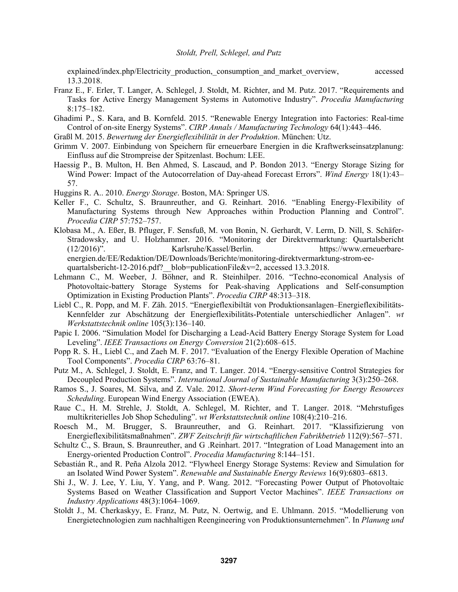explained/index.php/Electricity\_production,\_consumption\_and\_market\_overview, accessed 13.3.2018.

- Franz E., F. Erler, T. Langer, A. Schlegel, J. Stoldt, M. Richter, and M. Putz. 2017. "Requirements and Tasks for Active Energy Management Systems in Automotive Industry". *Procedia Manufacturing* 8:175–182.
- Ghadimi P., S. Kara, and B. Kornfeld. 2015. "Renewable Energy Integration into Factories: Real-time Control of on-site Energy Systems". *CIRP Annals / Manufacturing Technology* 64(1):443–446.
- Graßl M. 2015. *Bewertung der Energieflexibilität in der Produktion*. München: Utz.
- Grimm V. 2007. Einbindung von Speichern für erneuerbare Energien in die Kraftwerkseinsatzplanung: Einfluss auf die Strompreise der Spitzenlast. Bochum: LEE.
- Haessig P., B. Multon, H. Ben Ahmed, S. Lascaud, and P. Bondon 2013. "Energy Storage Sizing for Wind Power: Impact of the Autocorrelation of Day-ahead Forecast Errors". *Wind Energy* 18(1):43– 57.
- Huggins R. A.. 2010. *Energy Storage*. Boston, MA: Springer US.
- Keller F., C. Schultz, S. Braunreuther, and G. Reinhart. 2016. "Enabling Energy-Flexibility of Manufacturing Systems through New Approaches within Production Planning and Control". *Procedia CIRP* 57:752–757.
- Klobasa M., A. Eßer, B. Pfluger, F. Sensfuß, M. von Bonin, N. Gerhardt, V. Lerm, D. Nill, S. Schäfer-Stradowsky, and U. Holzhammer. 2016. "Monitoring der Direktvermarktung: Quartalsbericht (12/2016)". Karlsruhe/Kassel/Berlin. https://www.erneuerbareenergien.de/EE/Redaktion/DE/Downloads/Berichte/monitoring-direktvermarktung-strom-eequartalsbericht-12-2016.pdf? blob=publicationFile&v=2, accessed 13.3.2018.
- Lehmann C., M. Weeber, J. Böhner, and R. Steinhilper. 2016. "Techno-economical Analysis of Photovoltaic-battery Storage Systems for Peak-shaving Applications and Self-consumption Optimization in Existing Production Plants". *Procedia CIRP* 48:313–318.
- Liebl C., R. Popp, and M. F. Zäh. 2015. "Energieflexibiltät von Produktionsanlagen–Energieflexibilitäts-Kennfelder zur Abschätzung der Energieflexibilitäts-Potentiale unterschiedlicher Anlagen". *wt Werkstattstechnik online* 105(3):136–140.
- Papic I. 2006. "Simulation Model for Discharging a Lead-Acid Battery Energy Storage System for Load Leveling". *IEEE Transactions on Energy Conversion* 21(2):608–615.
- Popp R. S. H., Liebl C., and Zaeh M. F. 2017. "Evaluation of the Energy Flexible Operation of Machine Tool Components". *Procedia CIRP* 63:76–81.
- Putz M., A. Schlegel, J. Stoldt, E. Franz, and T. Langer. 2014. "Energy-sensitive Control Strategies for Decoupled Production Systems". *International Journal of Sustainable Manufacturing* 3(3):250–268.
- Ramos S., J. Soares, M. Silva, and Z. Vale. 2012. *Short-term Wind Forecasting for Energy Resources Scheduling*. European Wind Energy Association (EWEA).
- Raue C., H. M. Strehle, J. Stoldt, A. Schlegel, M. Richter, and T. Langer. 2018. "Mehrstufiges multikriterielles Job Shop Scheduling". *wt Werkstattstechnik online* 108(4):210–216.
- Roesch M., M. Brugger, S. Braunreuther, and G. Reinhart. 2017. "Klassifizierung von Energieflexibilitätsmaßnahmen". *ZWF Zeitschrift für wirtschaftlichen Fabrikbetrieb* 112(9):567–571.
- Schultz C., S. Braun, S. Braunreuther, and G .Reinhart. 2017. "Integration of Load Management into an Energy-oriented Production Control". *Procedia Manufacturing* 8:144–151.
- Sebastián R., and R. Peña Alzola 2012. "Flywheel Energy Storage Systems: Review and Simulation for an Isolated Wind Power System". *Renewable and Sustainable Energy Reviews* 16(9):6803–6813.
- Shi J., W. J. Lee, Y. Liu, Y. Yang, and P. Wang. 2012. "Forecasting Power Output of Photovoltaic Systems Based on Weather Classification and Support Vector Machines". *IEEE Transactions on Industry Applications* 48(3):1064–1069.
- Stoldt J., M. Cherkaskyy, E. Franz, M. Putz, N. Oertwig, and E. Uhlmann. 2015. "Modellierung von Energietechnologien zum nachhaltigen Reengineering von Produktionsunternehmen". In *Planung und*